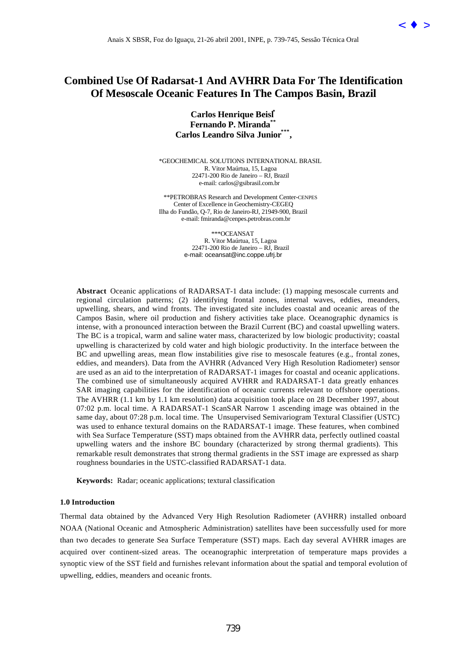

# **Combined Use Of Radarsat-1 And AVHRR Data For The Identification Of Mesoscale Oceanic Features In The Campos Basin, Brazil**

**Carlos Henrique Beisl\* Fernando P. Miranda\*\* Carlos Leandro Silva Junior\*\*\*,**

\*GEOCHEMICAL SOLUTIONS INTERNATIONAL BRASIL R. Vitor Maúrtua, 15, Lagoa 22471-200 Rio de Janeiro – RJ, Brazil e-mail: carlos@gsibrasil.com.br

\*\*PETROBRAS Research and Development Center-CENPES Center of Excellence in Geochemistry-CEGEQ Ilha do Fundão, Q-7, Rio de Janeiro-RJ, 21949-900, Brazil e-mail: fmiranda@cenpes.petrobras.com.br

> \*\*\*OCEANSAT R. Vitor Maúrtua, 15, Lagoa 22471-200 Rio de Janeiro – RJ, Brazil e-mail: oceansat@inc.coppe.ufrj.br

**Abstract** Oceanic applications of RADARSAT-1 data include: (1) mapping mesoscale currents and regional circulation patterns; (2) identifying frontal zones, internal waves, eddies, meanders, upwelling, shears, and wind fronts. The investigated site includes coastal and oceanic areas of the Campos Basin, where oil production and fishery activities take place. Oceanographic dynamics is intense, with a pronounced interaction between the Brazil Current (BC) and coastal upwelling waters. The BC is a tropical, warm and saline water mass, characterized by low biologic productivity; coastal upwelling is characterized by cold water and high biologic productivity. In the interface between the BC and upwelling areas, mean flow instabilities give rise to mesoscale features (e.g., frontal zones, eddies, and meanders). Data from the AVHRR (Advanced Very High Resolution Radiometer) sensor are used as an aid to the interpretation of RADARSAT-1 images for coastal and oceanic applications. The combined use of simultaneously acquired AVHRR and RADARSAT-1 data greatly enhances SAR imaging capabilities for the identification of oceanic currents relevant to offshore operations. The AVHRR (1.1 km by 1.1 km resolution) data acquisition took place on 28 December 1997, about 07:02 p.m. local time. A RADARSAT-1 ScanSAR Narrow 1 ascending image was obtained in the same day, about 07:28 p.m. local time. The Unsupervised Semivariogram Textural Classifier (USTC) was used to enhance textural domains on the RADARSAT-1 image. These features, when combined with Sea Surface Temperature (SST) maps obtained from the AVHRR data, perfectly outlined coastal upwelling waters and the inshore BC boundary (characterized by strong thermal gradients). This remarkable result demonstrates that strong thermal gradients in the SST image are expressed as sharp roughness boundaries in the USTC-classified RADARSAT-1 data. Anais X SBSR, For do Iguaçu, 21-26 abril 2001, INPE, p. 739-745, Sesue Técnica Oral (ADVER Del Computer Computer Computer Computer Computer Computer Computer Computer Computer Computer Computer Computer Computer Computer

**Keywords:** Radar; oceanic applications; textural classification

### **1.0 Introduction**

Thermal data obtained by the Advanced Very High Resolution Radiometer (AVHRR) installed onboard NOAA (National Oceanic and Atmospheric Administration) satellites have been successfully used for more than two decades to generate Sea Surface Temperature (SST) maps. Each day several AVHRR images are acquired over continent-sized areas. The oceanographic interpretation of temperature maps provides a synoptic view of the SST field and furnishes relevant information about the spatial and temporal evolution of upwelling, eddies, meanders and oceanic fronts.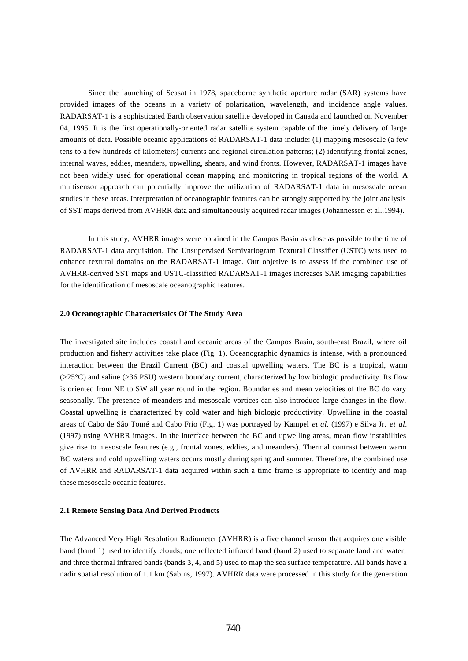Since the launching of Seasat in 1978, spaceborne synthetic aperture radar (SAR) systems have provided images of the oceans in a variety of polarization, wavelength, and incidence angle values. RADARSAT-1 is a sophisticated Earth observation satellite developed in Canada and launched on November 04, 1995. It is the first operationally-oriented radar satellite system capable of the timely delivery of large amounts of data. Possible oceanic applications of RADARSAT-1 data include: (1) mapping mesoscale (a few tens to a few hundreds of kilometers) currents and regional circulation patterns; (2) identifying frontal zones, internal waves, eddies, meanders, upwelling, shears, and wind fronts. However, RADARSAT-1 images have not been widely used for operational ocean mapping and monitoring in tropical regions of the world. A multisensor approach can potentially improve the utilization of RADARSAT-1 data in mesoscale ocean studies in these areas. Interpretation of oceanographic features can be strongly supported by the joint analysis of SST maps derived from AVHRR data and simultaneously acquired radar images (Johannessen et al.,1994).

In this study, AVHRR images were obtained in the Campos Basin as close as possible to the time of RADARSAT-1 data acquisition. The Unsupervised Semivariogram Textural Classifier (USTC) was used to enhance textural domains on the RADARSAT-1 image. Our objetive is to assess if the combined use of AVHRR-derived SST maps and USTC-classified RADARSAT-1 images increases SAR imaging capabilities for the identification of mesoscale oceanographic features.

### **2.0 Oceanographic Characteristics Of The Study Area**

The investigated site includes coastal and oceanic areas of the Campos Basin, south-east Brazil, where oil production and fishery activities take place (Fig. 1). Oceanographic dynamics is intense, with a pronounced interaction between the Brazil Current (BC) and coastal upwelling waters. The BC is a tropical, warm (>25°C) and saline (>36 PSU) western boundary current, characterized by low biologic productivity. Its flow is oriented from NE to SW all year round in the region. Boundaries and mean velocities of the BC do vary seasonally. The presence of meanders and mesoscale vortices can also introduce large changes in the flow. Coastal upwelling is characterized by cold water and high biologic productivity. Upwelling in the coastal areas of Cabo de São Tomé and Cabo Frio (Fig. 1) was portrayed by Kampel *et al.* (1997) e Silva Jr. *et al.* (1997) using AVHRR images. In the interface between the BC and upwelling areas, mean flow instabilities give rise to mesoscale features (e.g., frontal zones, eddies, and meanders). Thermal contrast between warm BC waters and cold upwelling waters occurs mostly during spring and summer. Therefore, the combined use of AVHRR and RADARSAT-1 data acquired within such a time frame is appropriate to identify and map these mesoscale oceanic features.

#### **2.1 Remote Sensing Data And Derived Products**

The Advanced Very High Resolution Radiometer (AVHRR) is a five channel sensor that acquires one visible band (band 1) used to identify clouds; one reflected infrared band (band 2) used to separate land and water; and three thermal infrared bands (bands 3, 4, and 5) used to map the sea surface temperature. All bands have a nadir spatial resolution of 1.1 km (Sabins, 1997). AVHRR data were processed in this study for the generation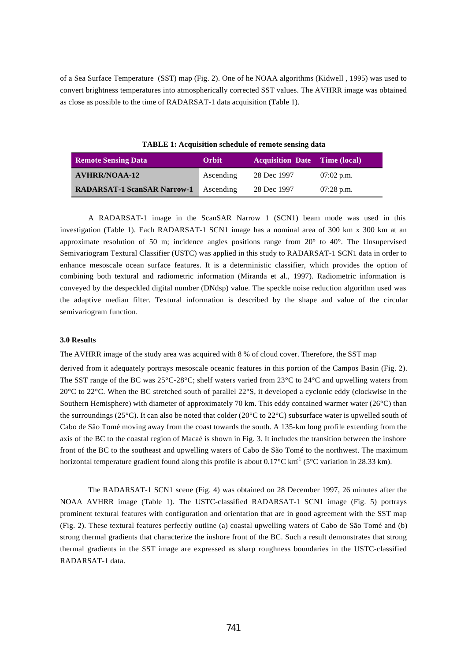of a Sea Surface Temperature (SST) map (Fig. 2). One of he NOAA algorithms (Kidwell , 1995) was used to convert brightness temperatures into atmospherically corrected SST values. The AVHRR image was obtained as close as possible to the time of RADARSAT-1 data acquisition (Table 1).

| <b>Remote Sensing Data</b>         | Orbit     | <b>Acquisition Date Time (local)</b> |              |
|------------------------------------|-----------|--------------------------------------|--------------|
| <b>AVHRR/NOAA-12</b>               | Ascending | 28 Dec 1997                          | $07:02$ p.m. |
| <b>RADARSAT-1 ScanSAR Narrow-1</b> | Ascending | 28 Dec 1997                          | $07:28$ p.m. |

**TABLE 1: Acquisition schedule of remote sensing data**

A RADARSAT-1 image in the ScanSAR Narrow 1 (SCN1) beam mode was used in this investigation (Table 1). Each RADARSAT-1 SCN1 image has a nominal area of 300 km x 300 km at an approximate resolution of 50 m; incidence angles positions range from 20° to 40°. The Unsupervised Semivariogram Textural Classifier (USTC) was applied in this study to RADARSAT-1 SCN1 data in order to enhance mesoscale ocean surface features. It is a deterministic classifier, which provides the option of combining both textural and radiometric information (Miranda et al., 1997). Radiometric information is conveyed by the despeckled digital number (DNdsp) value. The speckle noise reduction algorithm used was the adaptive median filter. Textural information is described by the shape and value of the circular semivariogram function.

#### **3.0 Results**

The AVHRR image of the study area was acquired with 8 % of cloud cover. Therefore, the SST map

derived from it adequately portrays mesoscale oceanic features in this portion of the Campos Basin (Fig. 2). The SST range of the BC was 25°C-28°C; shelf waters varied from 23°C to 24°C and upwelling waters from 20 $^{\circ}$ C to 22 $^{\circ}$ C. When the BC stretched south of parallel 22 $^{\circ}$ S, it developed a cyclonic eddy (clockwise in the Southern Hemisphere) with diameter of approximately 70 km. This eddy contained warmer water (26°C) than the surroundings (25 $^{\circ}$ C). It can also be noted that colder (20 $^{\circ}$ C to 22 $^{\circ}$ C) subsurface water is upwelled south of Cabo de São Tomé moving away from the coast towards the south. A 135-km long profile extending from the axis of the BC to the coastal region of Macaé is shown in Fig. 3. It includes the transition between the inshore front of the BC to the southeast and upwelling waters of Cabo de São Tomé to the northwest. The maximum horizontal temperature gradient found along this profile is about  $0.17^{\circ}$ C km<sup>-1</sup> (5°C variation in 28.33 km).

The RADARSAT-1 SCN1 scene (Fig. 4) was obtained on 28 December 1997, 26 minutes after the NOAA AVHRR image (Table 1). The USTC-classified RADARSAT-1 SCN1 image (Fig. 5) portrays prominent textural features with configuration and orientation that are in good agreement with the SST map (Fig. 2). These textural features perfectly outline (a) coastal upwelling waters of Cabo de São Tomé and (b) strong thermal gradients that characterize the inshore front of the BC. Such a result demonstrates that strong thermal gradients in the SST image are expressed as sharp roughness boundaries in the USTC-classified RADARSAT-1 data.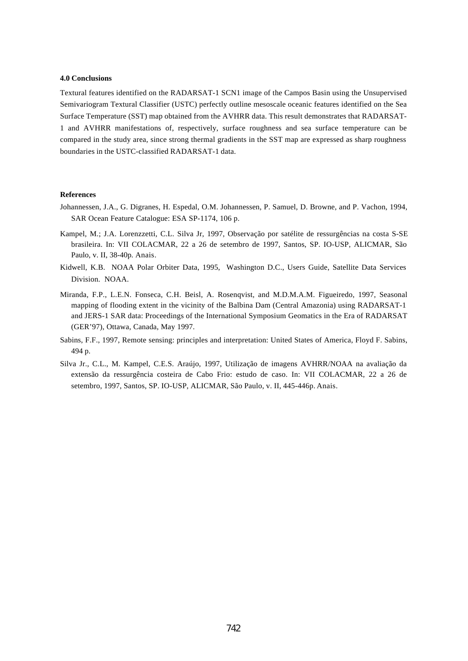#### **4.0 Conclusions**

Textural features identified on the RADARSAT-1 SCN1 image of the Campos Basin using the Unsupervised Semivariogram Textural Classifier (USTC) perfectly outline mesoscale oceanic features identified on the Sea Surface Temperature (SST) map obtained from the AVHRR data. This result demonstrates that RADARSAT-1 and AVHRR manifestations of, respectively, surface roughness and sea surface temperature can be compared in the study area, since strong thermal gradients in the SST map are expressed as sharp roughness boundaries in the USTC-classified RADARSAT-1 data.

## **References**

- Johannessen, J.A., G. Digranes, H. Espedal, O.M. Johannessen, P. Samuel, D. Browne, and P. Vachon, 1994, SAR Ocean Feature Catalogue: ESA SP-1174, 106 p.
- Kampel, M.; J.A. Lorenzzetti, C.L. Silva Jr, 1997, Observação por satélite de ressurgências na costa S-SE brasileira. In: VII COLACMAR, 22 a 26 de setembro de 1997, Santos, SP. IO-USP, ALICMAR, São Paulo, v. II, 38-40p. Anais.
- Kidwell, K.B. NOAA Polar Orbiter Data, 1995, Washington D.C., Users Guide, Satellite Data Services Division. NOAA.
- Miranda, F.P., L.E.N. Fonseca, C.H. Beisl, A. Rosenqvist, and M.D.M.A.M. Figueiredo, 1997, Seasonal mapping of flooding extent in the vicinity of the Balbina Dam (Central Amazonia) using RADARSAT-1 and JERS-1 SAR data: Proceedings of the International Symposium Geomatics in the Era of RADARSAT (GER'97), Ottawa, Canada, May 1997.
- Sabins, F.F., 1997, Remote sensing: principles and interpretation: United States of America, Floyd F. Sabins, 494 p.
- Silva Jr., C.L., M. Kampel, C.E.S. Araújo, 1997, Utilização de imagens AVHRR/NOAA na avaliação da extensão da ressurgência costeira de Cabo Frio: estudo de caso. In: VII COLACMAR, 22 a 26 de setembro, 1997, Santos, SP. IO-USP, ALICMAR, São Paulo, v. II, 445-446p. Anais.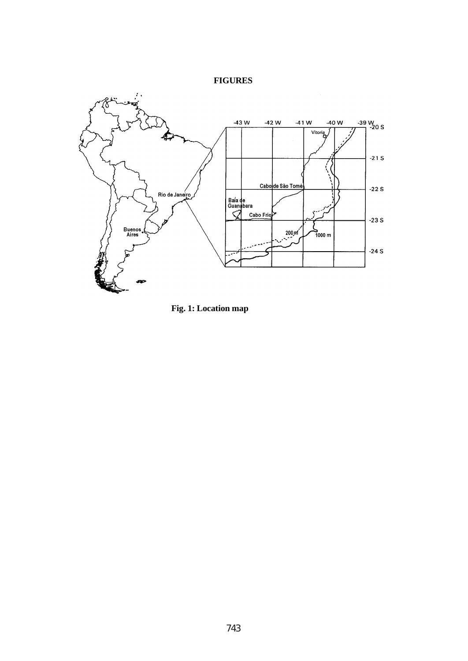# **FIGURES**



**Fig. 1: Location map**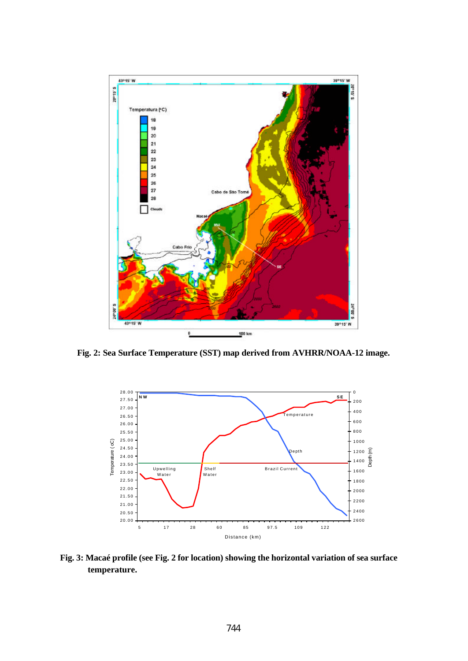

**Fig. 2: Sea Surface Temperature (SST) map derived from AVHRR/NOAA-12 image.**



**Fig. 3: Macaé profile (see Fig. 2 for location) showing the horizontal variation of sea surface temperature.**